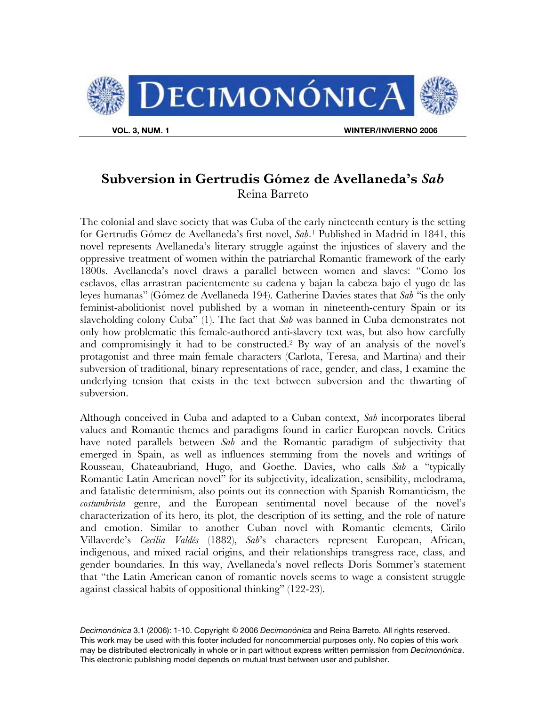

## **Subversion in Gertrudis Gómez de Avellaneda's** *Sab*  Reina Barreto

The colonial and slave society that was Cuba of the early nineteenth century is the setting for Gertrudis Gómez de Avellaneda's first novel, *Sab*.1 Published in Madrid in 1841, this novel represents Avellaneda's literary struggle against the injustices of slavery and the oppressive treatment of women within the patriarchal Romantic framework of the early 1800s. Avellaneda's novel draws a parallel between women and slaves: "Como los esclavos, ellas arrastran pacientemente su cadena y bajan la cabeza bajo el yugo de las leyes humanas" (Gómez de Avellaneda 194). Catherine Davies states that *Sab* "is the only feminist-abolitionist novel published by a woman in nineteenth-century Spain or its slaveholding colony Cuba" (1). The fact that *Sab* was banned in Cuba demonstrates not only how problematic this female-authored anti-slavery text was, but also how carefully and compromisingly it had to be constructed.2 By way of an analysis of the novel's protagonist and three main female characters (Carlota, Teresa, and Martina) and their subversion of traditional, binary representations of race, gender, and class, I examine the underlying tension that exists in the text between subversion and the thwarting of subversion.

Although conceived in Cuba and adapted to a Cuban context, *Sab* incorporates liberal values and Romantic themes and paradigms found in earlier European novels. Critics have noted parallels between *Sab* and the Romantic paradigm of subjectivity that emerged in Spain, as well as influences stemming from the novels and writings of Rousseau, Chateaubriand, Hugo, and Goethe. Davies, who calls *Sab* a "typically Romantic Latin American novel" for its subjectivity, idealization, sensibility, melodrama, and fatalistic determinism, also points out its connection with Spanish Romanticism, the *costumbrista* genre, and the European sentimental novel because of the novel's characterization of its hero, its plot, the description of its setting, and the role of nature and emotion. Similar to another Cuban novel with Romantic elements, Cirilo Villaverde's *Cecilia Valdés* (1882), *Sab*'s characters represent European, African, indigenous, and mixed racial origins, and their relationships transgress race, class, and gender boundaries. In this way, Avellaneda's novel reflects Doris Sommer's statement that "the Latin American canon of romantic novels seems to wage a consistent struggle against classical habits of oppositional thinking" (122-23).

*Decimonónica* 3.1 (2006): 1-10. Copyright 2006 *Decimonónica* and Reina Barreto. All rights reserved. This work may be used with this footer included for noncommercial purposes only. No copies of this work may be distributed electronically in whole or in part without express written permission from *Decimonónica*. This electronic publishing model depends on mutual trust between user and publisher.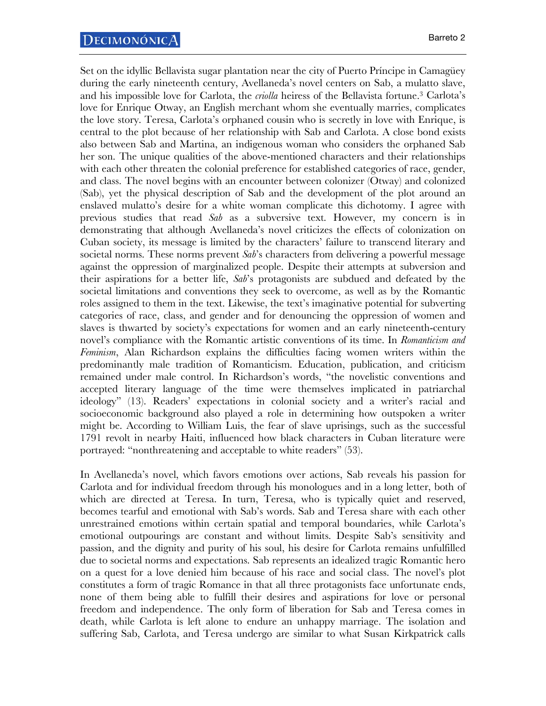Set on the idyllic Bellavista sugar plantation near the city of Puerto Príncipe in Camagüey during the early nineteenth century, Avellaneda's novel centers on Sab, a mulatto slave, and his impossible love for Carlota, the *criolla* heiress of the Bellavista fortune.3 Carlota's love for Enrique Otway, an English merchant whom she eventually marries, complicates the love story. Teresa, Carlota's orphaned cousin who is secretly in love with Enrique, is central to the plot because of her relationship with Sab and Carlota. A close bond exists also between Sab and Martina, an indigenous woman who considers the orphaned Sab her son. The unique qualities of the above-mentioned characters and their relationships with each other threaten the colonial preference for established categories of race, gender, and class. The novel begins with an encounter between colonizer (Otway) and colonized (Sab), yet the physical description of Sab and the development of the plot around an enslaved mulatto's desire for a white woman complicate this dichotomy. I agree with previous studies that read *Sab* as a subversive text. However, my concern is in demonstrating that although Avellaneda's novel criticizes the effects of colonization on Cuban society, its message is limited by the characters' failure to transcend literary and societal norms. These norms prevent *Sab*'s characters from delivering a powerful message against the oppression of marginalized people. Despite their attempts at subversion and their aspirations for a better life, *Sab*'s protagonists are subdued and defeated by the societal limitations and conventions they seek to overcome, as well as by the Romantic roles assigned to them in the text. Likewise, the text's imaginative potential for subverting categories of race, class, and gender and for denouncing the oppression of women and slaves is thwarted by society's expectations for women and an early nineteenth-century novel's compliance with the Romantic artistic conventions of its time. In *Romanticism and Feminism*, Alan Richardson explains the difficulties facing women writers within the predominantly male tradition of Romanticism. Education, publication, and criticism remained under male control. In Richardson's words, "the novelistic conventions and accepted literary language of the time were themselves implicated in patriarchal ideology" (13). Readers' expectations in colonial society and a writer's racial and socioeconomic background also played a role in determining how outspoken a writer might be. According to William Luis, the fear of slave uprisings, such as the successful 1791 revolt in nearby Haiti, influenced how black characters in Cuban literature were portrayed: "nonthreatening and acceptable to white readers" (53).

In Avellaneda's novel, which favors emotions over actions, Sab reveals his passion for Carlota and for individual freedom through his monologues and in a long letter, both of which are directed at Teresa. In turn, Teresa, who is typically quiet and reserved, becomes tearful and emotional with Sab's words. Sab and Teresa share with each other unrestrained emotions within certain spatial and temporal boundaries, while Carlota's emotional outpourings are constant and without limits. Despite Sab's sensitivity and passion, and the dignity and purity of his soul, his desire for Carlota remains unfulfilled due to societal norms and expectations. Sab represents an idealized tragic Romantic hero on a quest for a love denied him because of his race and social class. The novel's plot constitutes a form of tragic Romance in that all three protagonists face unfortunate ends, none of them being able to fulfill their desires and aspirations for love or personal freedom and independence. The only form of liberation for Sab and Teresa comes in death, while Carlota is left alone to endure an unhappy marriage. The isolation and suffering Sab, Carlota, and Teresa undergo are similar to what Susan Kirkpatrick calls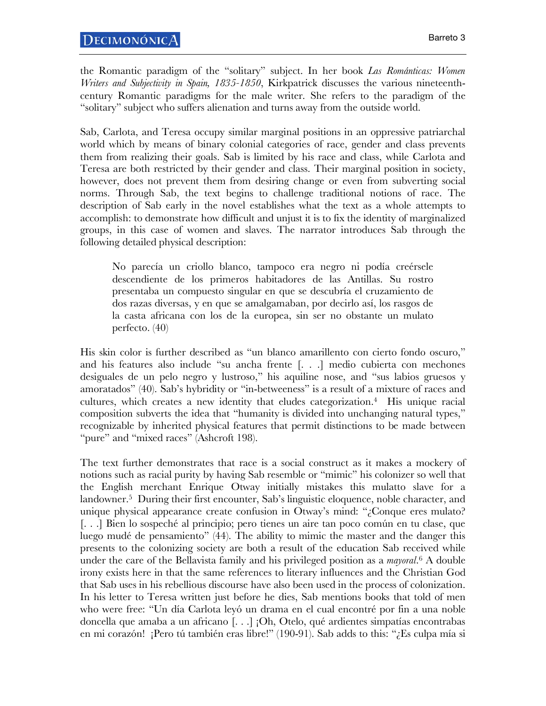the Romantic paradigm of the "solitary" subject. In her book *Las Románticas: Women Writers and Subjectivity in Spain, 1835-1850*, Kirkpatrick discusses the various nineteenthcentury Romantic paradigms for the male writer. She refers to the paradigm of the "solitary" subject who suffers alienation and turns away from the outside world.

Sab, Carlota, and Teresa occupy similar marginal positions in an oppressive patriarchal world which by means of binary colonial categories of race, gender and class prevents them from realizing their goals. Sab is limited by his race and class, while Carlota and Teresa are both restricted by their gender and class. Their marginal position in society, however, does not prevent them from desiring change or even from subverting social norms. Through Sab, the text begins to challenge traditional notions of race. The description of Sab early in the novel establishes what the text as a whole attempts to accomplish: to demonstrate how difficult and unjust it is to fix the identity of marginalized groups, in this case of women and slaves. The narrator introduces Sab through the following detailed physical description:

No parecía un criollo blanco, tampoco era negro ni podía creérsele descendiente de los primeros habitadores de las Antillas. Su rostro presentaba un compuesto singular en que se descubría el cruzamiento de dos razas diversas, y en que se amalgamaban, por decirlo así, los rasgos de la casta africana con los de la europea, sin ser no obstante un mulato perfecto. (40)

His skin color is further described as "un blanco amarillento con cierto fondo oscuro," and his features also include "su ancha frente [. . .] medio cubierta con mechones desiguales de un pelo negro y lustroso," his aquiline nose, and "sus labios gruesos y amoratados" (40). Sab's hybridity or "in-betweeness" is a result of a mixture of races and cultures, which creates a new identity that eludes categorization.4 His unique racial composition subverts the idea that "humanity is divided into unchanging natural types," recognizable by inherited physical features that permit distinctions to be made between "pure" and "mixed races" (Ashcroft 198).

The text further demonstrates that race is a social construct as it makes a mockery of notions such as racial purity by having Sab resemble or "mimic" his colonizer so well that the English merchant Enrique Otway initially mistakes this mulatto slave for a landowner.<sup>5</sup> During their first encounter, Sab's linguistic eloquence, noble character, and unique physical appearance create confusion in Otway's mind: "¿Conque eres mulato? [. . .] Bien lo sospeché al principio; pero tienes un aire tan poco común en tu clase, que luego mudé de pensamiento" (44). The ability to mimic the master and the danger this presents to the colonizing society are both a result of the education Sab received while under the care of the Bellavista family and his privileged position as a *mayoral*.6 A double irony exists here in that the same references to literary influences and the Christian God that Sab uses in his rebellious discourse have also been used in the process of colonization. In his letter to Teresa written just before he dies, Sab mentions books that told of men who were free: "Un día Carlota leyó un drama en el cual encontré por fin a una noble doncella que amaba a un africano [. . .] ¡Oh, Otelo, qué ardientes simpatías encontrabas en mi corazón! ¡Pero tú también eras libre!" (190-91). Sab adds to this: "¿Es culpa mía si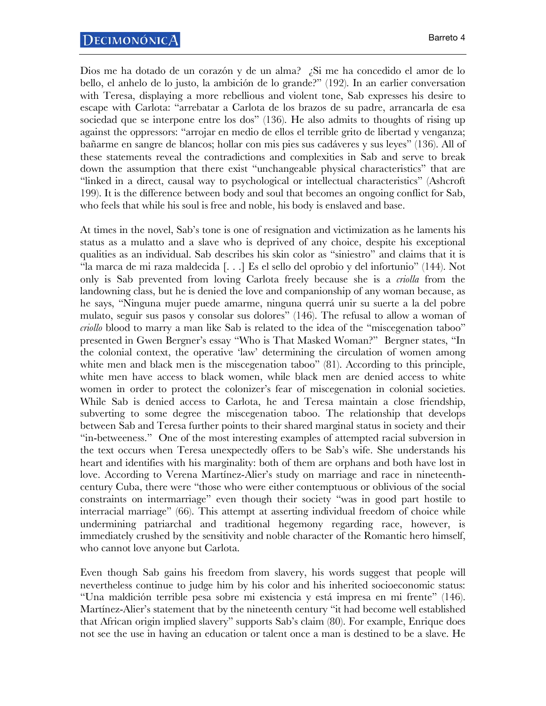Dios me ha dotado de un corazón y de un alma? ¿Si me ha concedido el amor de lo bello, el anhelo de lo justo, la ambición de lo grande?" (192). In an earlier conversation with Teresa, displaying a more rebellious and violent tone, Sab expresses his desire to escape with Carlota: "arrebatar a Carlota de los brazos de su padre, arrancarla de esa sociedad que se interpone entre los dos" (136). He also admits to thoughts of rising up against the oppressors: "arrojar en medio de ellos el terrible grito de libertad y venganza; bañarme en sangre de blancos; hollar con mis pies sus cadáveres y sus leyes" (136). All of these statements reveal the contradictions and complexities in Sab and serve to break down the assumption that there exist "unchangeable physical characteristics" that are "linked in a direct, causal way to psychological or intellectual characteristics" (Ashcroft 199). It is the difference between body and soul that becomes an ongoing conflict for Sab, who feels that while his soul is free and noble, his body is enslaved and base.

At times in the novel, Sab's tone is one of resignation and victimization as he laments his status as a mulatto and a slave who is deprived of any choice, despite his exceptional qualities as an individual. Sab describes his skin color as "siniestro" and claims that it is "la marca de mi raza maldecida [. . .] Es el sello del oprobio y del infortunio" (144). Not only is Sab prevented from loving Carlota freely because she is a *criolla* from the landowning class, but he is denied the love and companionship of any woman because, as he says, "Ninguna mujer puede amarme, ninguna querrá unir su suerte a la del pobre mulato, seguir sus pasos y consolar sus dolores" (146). The refusal to allow a woman of *criollo* blood to marry a man like Sab is related to the idea of the "miscegenation taboo" presented in Gwen Bergner's essay "Who is That Masked Woman?" Bergner states, "In the colonial context, the operative 'law' determining the circulation of women among white men and black men is the miscegenation taboo" (81). According to this principle, white men have access to black women, while black men are denied access to white women in order to protect the colonizer's fear of miscegenation in colonial societies. While Sab is denied access to Carlota, he and Teresa maintain a close friendship, subverting to some degree the miscegenation taboo. The relationship that develops between Sab and Teresa further points to their shared marginal status in society and their "in-betweeness." One of the most interesting examples of attempted racial subversion in the text occurs when Teresa unexpectedly offers to be Sab's wife. She understands his heart and identifies with his marginality: both of them are orphans and both have lost in love. According to Verena Martínez-Alier's study on marriage and race in nineteenthcentury Cuba, there were "those who were either contemptuous or oblivious of the social constraints on intermarriage" even though their society "was in good part hostile to interracial marriage" (66). This attempt at asserting individual freedom of choice while undermining patriarchal and traditional hegemony regarding race, however, is immediately crushed by the sensitivity and noble character of the Romantic hero himself, who cannot love anyone but Carlota.

Even though Sab gains his freedom from slavery, his words suggest that people will nevertheless continue to judge him by his color and his inherited socioeconomic status: "Una maldición terrible pesa sobre mi existencia y está impresa en mi frente" (146). Martínez-Alier's statement that by the nineteenth century "it had become well established that African origin implied slavery" supports Sab's claim (80). For example, Enrique does not see the use in having an education or talent once a man is destined to be a slave. He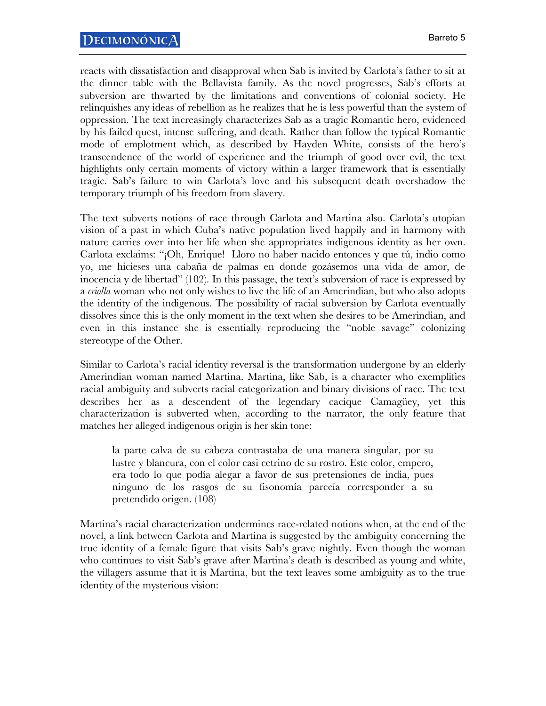reacts with dissatisfaction and disapproval when Sab is invited by Carlota's father to sit at the dinner table with the Bellavista family. As the novel progresses, Sab's efforts at subversion are thwarted by the limitations and conventions of colonial society. He relinquishes any ideas of rebellion as he realizes that he is less powerful than the system of oppression. The text increasingly characterizes Sab as a tragic Romantic hero, evidenced by his failed quest, intense suffering, and death. Rather than follow the typical Romantic mode of emplotment which, as described by Hayden White, consists of the hero's transcendence of the world of experience and the triumph of good over evil, the text highlights only certain moments of victory within a larger framework that is essentially tragic. Sab's failure to win Carlota's love and his subsequent death overshadow the temporary triumph of his freedom from slavery.

The text subverts notions of race through Carlota and Martina also. Carlota's utopian vision of a past in which Cuba's native population lived happily and in harmony with nature carries over into her life when she appropriates indigenous identity as her own. Carlota exclaims: "¡Oh, Enrique! Lloro no haber nacido entonces y que tú, indio como yo, me hicieses una cabaña de palmas en donde gozásemos una vida de amor, de inocencia y de libertad" (102). In this passage, the text's subversion of race is expressed by a *criolla* woman who not only wishes to live the life of an Amerindian, but who also adopts the identity of the indigenous. The possibility of racial subversion by Carlota eventually dissolves since this is the only moment in the text when she desires to be Amerindian, and even in this instance she is essentially reproducing the "noble savage" colonizing stereotype of the Other.

Similar to Carlota's racial identity reversal is the transformation undergone by an elderly Amerindian woman named Martina. Martina, like Sab, is a character who exemplifies racial ambiguity and subverts racial categorization and binary divisions of race. The text describes her as a descendent of the legendary cacique Camagüey, yet this characterization is subverted when, according to the narrator, the only feature that matches her alleged indigenous origin is her skin tone:

la parte calva de su cabeza contrastaba de una manera singular, por su lustre y blancura, con el color casi cetrino de su rostro. Este color, empero, era todo lo que podía alegar a favor de sus pretensiones de india, pues ninguno de los rasgos de su fisonomía parecía corresponder a su pretendido origen. (108)

Martina's racial characterization undermines race-related notions when, at the end of the novel, a link between Carlota and Martina is suggested by the ambiguity concerning the true identity of a female figure that visits Sab's grave nightly. Even though the woman who continues to visit Sab's grave after Martina's death is described as young and white, the villagers assume that it is Martina, but the text leaves some ambiguity as to the true identity of the mysterious vision: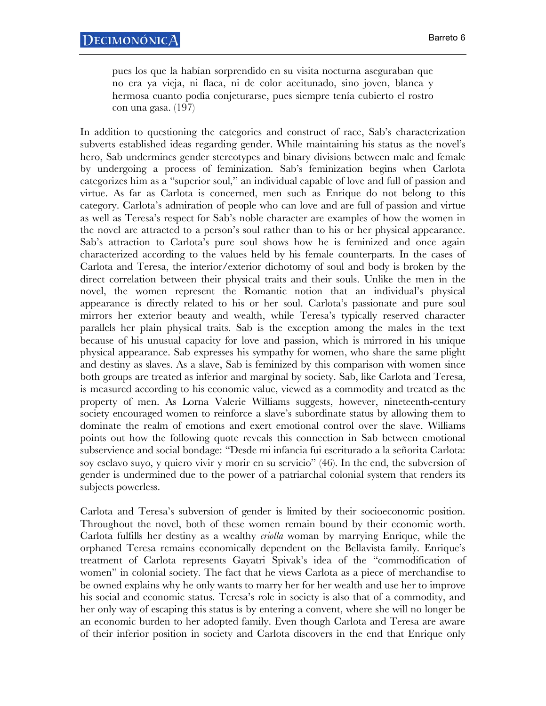pues los que la habían sorprendido en su visita nocturna aseguraban que no era ya vieja, ni flaca, ni de color aceitunado, sino joven, blanca y hermosa cuanto podía conjeturarse, pues siempre tenía cubierto el rostro con una gasa. (197)

In addition to questioning the categories and construct of race, Sab's characterization subverts established ideas regarding gender. While maintaining his status as the novel's hero, Sab undermines gender stereotypes and binary divisions between male and female by undergoing a process of feminization. Sab's feminization begins when Carlota categorizes him as a "superior soul," an individual capable of love and full of passion and virtue. As far as Carlota is concerned, men such as Enrique do not belong to this category. Carlota's admiration of people who can love and are full of passion and virtue as well as Teresa's respect for Sab's noble character are examples of how the women in the novel are attracted to a person's soul rather than to his or her physical appearance. Sab's attraction to Carlota's pure soul shows how he is feminized and once again characterized according to the values held by his female counterparts. In the cases of Carlota and Teresa, the interior/exterior dichotomy of soul and body is broken by the direct correlation between their physical traits and their souls. Unlike the men in the novel, the women represent the Romantic notion that an individual's physical appearance is directly related to his or her soul. Carlota's passionate and pure soul mirrors her exterior beauty and wealth, while Teresa's typically reserved character parallels her plain physical traits. Sab is the exception among the males in the text because of his unusual capacity for love and passion, which is mirrored in his unique physical appearance. Sab expresses his sympathy for women, who share the same plight and destiny as slaves. As a slave, Sab is feminized by this comparison with women since both groups are treated as inferior and marginal by society. Sab, like Carlota and Teresa, is measured according to his economic value, viewed as a commodity and treated as the property of men. As Lorna Valerie Williams suggests, however, nineteenth-century society encouraged women to reinforce a slave's subordinate status by allowing them to dominate the realm of emotions and exert emotional control over the slave. Williams points out how the following quote reveals this connection in Sab between emotional subservience and social bondage: "Desde mi infancia fui escriturado a la señorita Carlota: soy esclavo suyo, y quiero vivir y morir en su servicio" (46). In the end, the subversion of gender is undermined due to the power of a patriarchal colonial system that renders its subjects powerless.

Carlota and Teresa's subversion of gender is limited by their socioeconomic position. Throughout the novel, both of these women remain bound by their economic worth. Carlota fulfills her destiny as a wealthy *criolla* woman by marrying Enrique, while the orphaned Teresa remains economically dependent on the Bellavista family. Enrique's treatment of Carlota represents Gayatri Spivak's idea of the "commodification of women" in colonial society. The fact that he views Carlota as a piece of merchandise to be owned explains why he only wants to marry her for her wealth and use her to improve his social and economic status. Teresa's role in society is also that of a commodity, and her only way of escaping this status is by entering a convent, where she will no longer be an economic burden to her adopted family. Even though Carlota and Teresa are aware of their inferior position in society and Carlota discovers in the end that Enrique only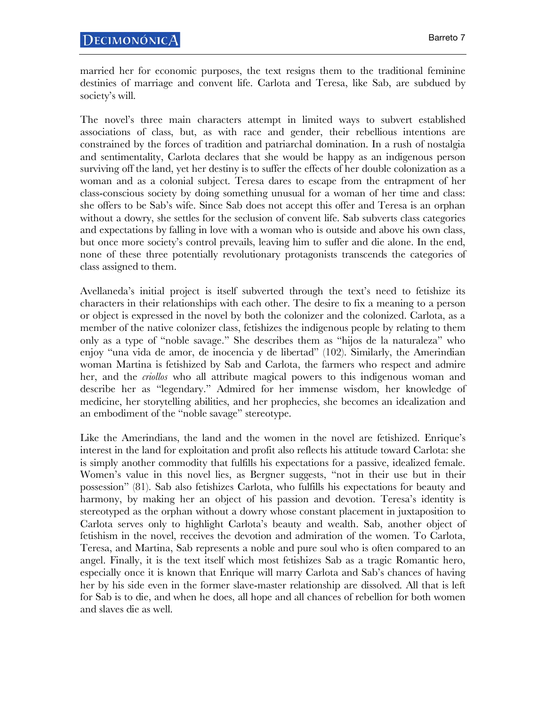married her for economic purposes, the text resigns them to the traditional feminine destinies of marriage and convent life. Carlota and Teresa, like Sab, are subdued by society's will.

The novel's three main characters attempt in limited ways to subvert established associations of class, but, as with race and gender, their rebellious intentions are constrained by the forces of tradition and patriarchal domination. In a rush of nostalgia and sentimentality, Carlota declares that she would be happy as an indigenous person surviving off the land, yet her destiny is to suffer the effects of her double colonization as a woman and as a colonial subject. Teresa dares to escape from the entrapment of her class-conscious society by doing something unusual for a woman of her time and class: she offers to be Sab's wife. Since Sab does not accept this offer and Teresa is an orphan without a dowry, she settles for the seclusion of convent life. Sab subverts class categories and expectations by falling in love with a woman who is outside and above his own class, but once more society's control prevails, leaving him to suffer and die alone. In the end, none of these three potentially revolutionary protagonists transcends the categories of class assigned to them.

Avellaneda's initial project is itself subverted through the text's need to fetishize its characters in their relationships with each other. The desire to fix a meaning to a person or object is expressed in the novel by both the colonizer and the colonized. Carlota, as a member of the native colonizer class, fetishizes the indigenous people by relating to them only as a type of "noble savage." She describes them as "hijos de la naturaleza" who enjoy "una vida de amor, de inocencia y de libertad" (102). Similarly, the Amerindian woman Martina is fetishized by Sab and Carlota, the farmers who respect and admire her, and the *criollos* who all attribute magical powers to this indigenous woman and describe her as "legendary." Admired for her immense wisdom, her knowledge of medicine, her storytelling abilities, and her prophecies, she becomes an idealization and an embodiment of the "noble savage" stereotype.

Like the Amerindians, the land and the women in the novel are fetishized. Enrique's interest in the land for exploitation and profit also reflects his attitude toward Carlota: she is simply another commodity that fulfills his expectations for a passive, idealized female. Women's value in this novel lies, as Bergner suggests, "not in their use but in their possession" (81). Sab also fetishizes Carlota, who fulfills his expectations for beauty and harmony, by making her an object of his passion and devotion. Teresa's identity is stereotyped as the orphan without a dowry whose constant placement in juxtaposition to Carlota serves only to highlight Carlota's beauty and wealth. Sab, another object of fetishism in the novel, receives the devotion and admiration of the women. To Carlota, Teresa, and Martina, Sab represents a noble and pure soul who is often compared to an angel. Finally, it is the text itself which most fetishizes Sab as a tragic Romantic hero, especially once it is known that Enrique will marry Carlota and Sab's chances of having her by his side even in the former slave-master relationship are dissolved. All that is left for Sab is to die, and when he does, all hope and all chances of rebellion for both women and slaves die as well.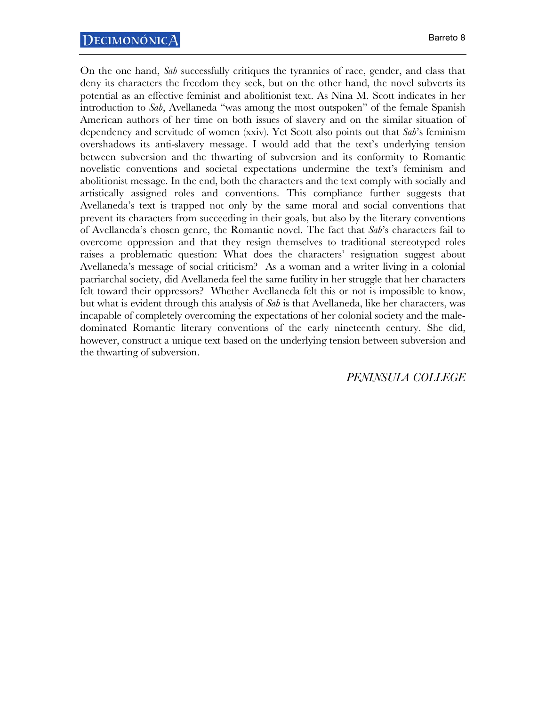On the one hand, *Sab* successfully critiques the tyrannies of race, gender, and class that deny its characters the freedom they seek, but on the other hand, the novel subverts its potential as an effective feminist and abolitionist text. As Nina M. Scott indicates in her introduction to *Sab*, Avellaneda "was among the most outspoken" of the female Spanish American authors of her time on both issues of slavery and on the similar situation of dependency and servitude of women (xxiv). Yet Scott also points out that *Sab*'s feminism overshadows its anti-slavery message. I would add that the text's underlying tension between subversion and the thwarting of subversion and its conformity to Romantic novelistic conventions and societal expectations undermine the text's feminism and abolitionist message. In the end, both the characters and the text comply with socially and artistically assigned roles and conventions. This compliance further suggests that Avellaneda's text is trapped not only by the same moral and social conventions that prevent its characters from succeeding in their goals, but also by the literary conventions of Avellaneda's chosen genre, the Romantic novel. The fact that *Sab*'s characters fail to overcome oppression and that they resign themselves to traditional stereotyped roles raises a problematic question: What does the characters' resignation suggest about Avellaneda's message of social criticism? As a woman and a writer living in a colonial patriarchal society, did Avellaneda feel the same futility in her struggle that her characters felt toward their oppressors? Whether Avellaneda felt this or not is impossible to know, but what is evident through this analysis of *Sab* is that Avellaneda, like her characters, was incapable of completely overcoming the expectations of her colonial society and the maledominated Romantic literary conventions of the early nineteenth century. She did, however, construct a unique text based on the underlying tension between subversion and the thwarting of subversion.

## *PENINSULA COLLEGE*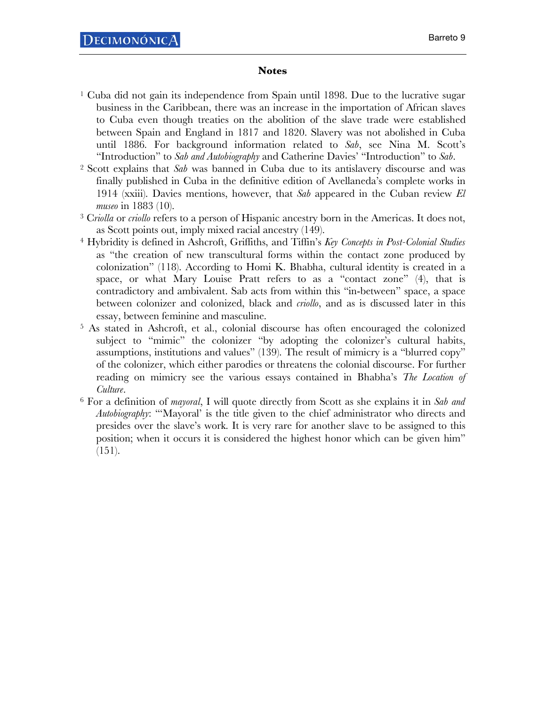## **Notes**

- <sup>1</sup> Cuba did not gain its independence from Spain until 1898. Due to the lucrative sugar business in the Caribbean, there was an increase in the importation of African slaves to Cuba even though treaties on the abolition of the slave trade were established between Spain and England in 1817 and 1820. Slavery was not abolished in Cuba until 1886. For background information related to *Sab*, see Nina M. Scott's
- "Introduction" to *Sab and Autobiography* and Catherine Davies' "Introduction" to *Sab*. 2 Scott explains that *Sab* was banned in Cuba due to its antislavery discourse and was finally published in Cuba in the definitive edition of Avellaneda's complete works in 1914 (xxiii). Davies mentions, however, that *Sab* appeared in the Cuban review *El museo* in 1883 (10).
- 3 C*riolla* or *criollo* refers to a person of Hispanic ancestry born in the Americas. It does not, as Scott points out, imply mixed racial ancestry (149).
- 4 Hybridity is defined in Ashcroft, Griffiths, and Tiffin's *Key Concepts in Post-Colonial Studies* as "the creation of new transcultural forms within the contact zone produced by colonization" (118). According to Homi K. Bhabha, cultural identity is created in a space, or what Mary Louise Pratt refers to as a "contact zone" (4), that is contradictory and ambivalent. Sab acts from within this "in-between" space, a space between colonizer and colonized, black and *criollo*, and as is discussed later in this essay, between feminine and masculine.
- 5 As stated in Ashcroft, et al., colonial discourse has often encouraged the colonized subject to "mimic" the colonizer "by adopting the colonizer's cultural habits, assumptions, institutions and values" (139). The result of mimicry is a "blurred copy" of the colonizer, which either parodies or threatens the colonial discourse. For further reading on mimicry see the various essays contained in Bhabha's *The Location of*
- *Culture*. 6 For a definition of *mayoral*, I will quote directly from Scott as she explains it in *Sab and Autobiography*: "'Mayoral' is the title given to the chief administrator who directs and presides over the slave's work. It is very rare for another slave to be assigned to this position; when it occurs it is considered the highest honor which can be given him"  $(151)$ .